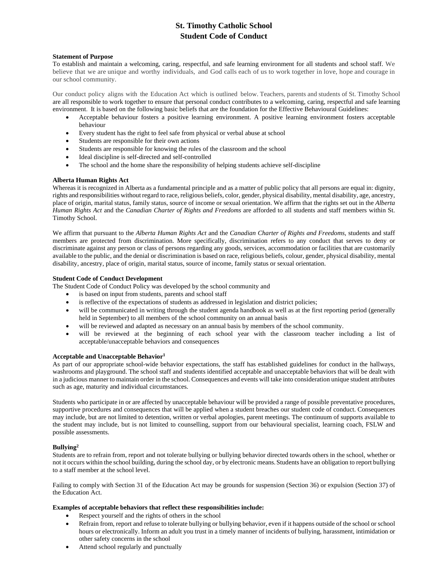# **St. Timothy Catholic School Student Code of Conduct**

## **Statement of Purpose**

To establish and maintain a welcoming, caring, respectful, and safe learning environment for all students and school staff. We believe that we are unique and worthy individuals, and God calls each of us to work together in love, hope and courage in our school community.

Our conduct policy aligns with the Education Act which is outlined below. Teachers, parents and students of St. Timothy School are all responsible to work together to ensure that personal conduct contributes to a welcoming, caring, respectful and safe learning environment. It is based on the following basic beliefs that are the foundation for the Effective Behavioural Guidelines:

- Acceptable behaviour fosters a positive learning environment. A positive learning environment fosters acceptable behaviour
- Every student has the right to feel safe from physical or verbal abuse at school
- Students are responsible for their own actions
- Students are responsible for knowing the rules of the classroom and the school
- Ideal discipline is self-directed and self-controlled
- The school and the home share the responsibility of helping students achieve self-discipline

## **Alberta Human Rights Act**

Whereas it is recognized in Alberta as a fundamental principle and as a matter of public policy that all persons are equal in: dignity, rights and responsibilities without regard to race, religious beliefs, color, gender, physical disability, mental disability, age, ancestry, place of origin, marital status, family status, source of income or sexual orientation. We affirm that the rights set out in the *Alberta Human Rights Act* and the *Canadian Charter of Rights and Freedoms* are afforded to all students and staff members within St. Timothy School.

We affirm that pursuant to the *Alberta Human Rights Act* and the *Canadian Charter of Rights and Freedoms*, students and staff members are protected from discrimination. More specifically, discrimination refers to any conduct that serves to deny or discriminate against any person or class of persons regarding any goods, services, accommodation or facilities that are customarily available to the public, and the denial or discrimination is based on race, religious beliefs, colour, gender, physical disability, mental disability, ancestry, place of origin, marital status, source of income, family status or sexual orientation.

# **Student Code of Conduct Development**

The Student Code of Conduct Policy was developed by the school community and

- is based on input from students, parents and school staff
- is reflective of the expectations of students as addressed in legislation and district policies;
- will be communicated in writing through the student agenda handbook as well as at the first reporting period (generally held in September) to all members of the school community on an annual basis
- will be reviewed and adapted as necessary on an annual basis by members of the school community.
- will be reviewed at the beginning of each school year with the classroom teacher including a list of acceptable/unacceptable behaviors and consequences

## **Acceptable and Unacceptable Behavior1**

As part of our appropriate school-wide behavior expectations, the staff has established guidelines for conduct in the hallways, washrooms and playground. The school staff and students identified acceptable and unacceptable behaviors that will be dealt with in a judicious manner to maintain order in the school. Consequences and events will take into consideration unique student attributes such as age, maturity and individual circumstances.

Students who participate in or are affected by unacceptable behaviour will be provided a range of possible preventative procedures, supportive procedures and consequences that will be applied when a student breaches our student code of conduct. Consequences may include, but are not limited to detention, written or verbal apologies, parent meetings. The continuum of supports available to the student may include, but is not limited to counselling, support from our behavioural specialist, learning coach, FSLW and possible assessments.

## **Bullying2**

Students are to refrain from, report and not tolerate bullying or bullying behavior directed towards others in the school, whether or not it occurs within the school building, during the school day, or by electronic means.Students have an obligation to report bullying to a staff member at the school level.

Failing to comply with Section 31 of the Education Act may be grounds for suspension (Section 36) or expulsion (Section 37) of the Education Act.

# **Examples of acceptable behaviors that reflect these responsibilities include:**

- Respect yourself and the rights of others in the school
	- Refrain from, report and refuse to tolerate bullying or bullying behavior, even if it happens outside of the school or school hours or electronically. Inform an adult you trust in a timely manner of incidents of bullying, harassment, intimidation or other safety concerns in the school
	- Attend school regularly and punctually